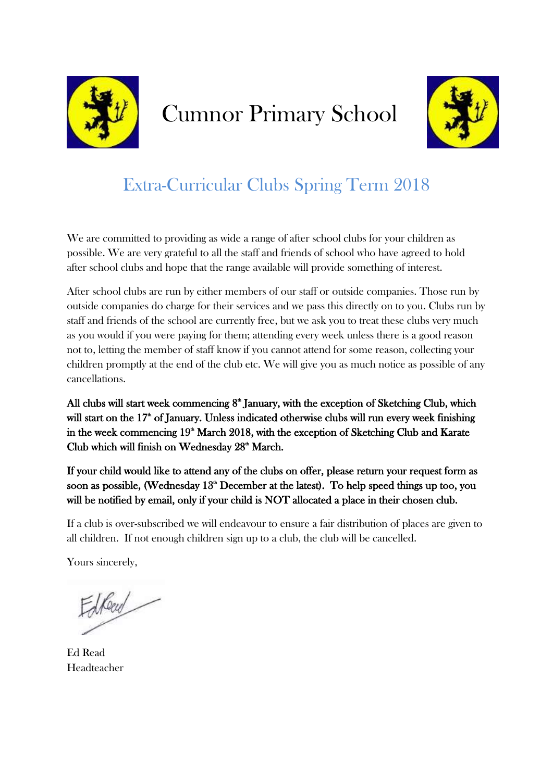

## Cumnor Primary School



## Extra-Curricular Clubs Spring Term 2018

We are committed to providing as wide a range of after school clubs for your children as possible. We are very grateful to all the staff and friends of school who have agreed to hold after school clubs and hope that the range available will provide something of interest.

After school clubs are run by either members of our staff or outside companies. Those run by outside companies do charge for their services and we pass this directly on to you. Clubs run by staff and friends of the school are currently free, but we ask you to treat these clubs very much as you would if you were paying for them; attending every week unless there is a good reason not to, letting the member of staff know if you cannot attend for some reason, collecting your children promptly at the end of the club etc. We will give you as much notice as possible of any cancellations.

All clubs will start week commencing  $8<sup>*</sup>$  January, with the exception of Sketching Club, which will start on the 17<sup>th</sup> of January. Unless indicated otherwise clubs will run every week finishing in the week commencing  $19<sup>th</sup>$  March 2018, with the exception of Sketching Club and Karate Club which will finish on Wednesday 28<sup>th</sup> March.

If your child would like to attend any of the clubs on offer, please return your request form as soon as possible, (Wednesday  $13<sup>th</sup>$  December at the latest). To help speed things up too, you will be notified by email, only if your child is NOT allocated a place in their chosen club.

If a club is over-subscribed we will endeavour to ensure a fair distribution of places are given to all children. If not enough children sign up to a club, the club will be cancelled.

Yours sincerely,

drew

Ed Read Headteacher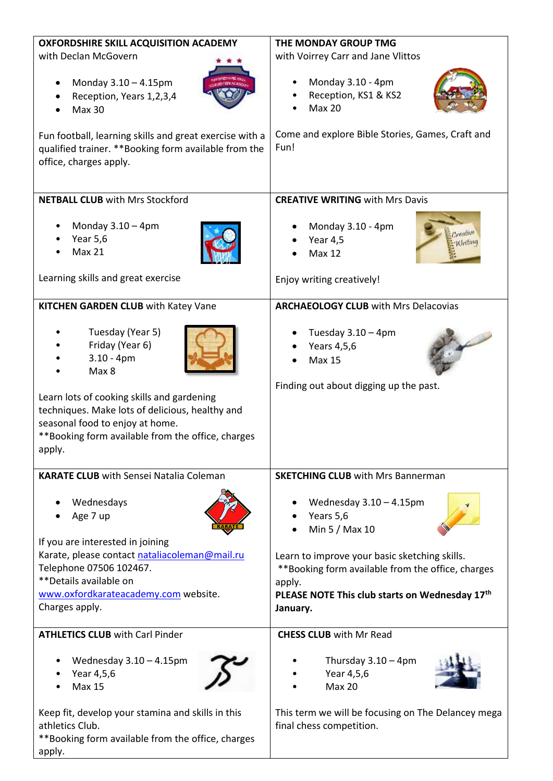| <b>OXFORDSHIRE SKILL ACQUISITION ACADEMY</b>                                                                                                                                                    | THE MONDAY GROUP TMG                                                                                           |  |
|-------------------------------------------------------------------------------------------------------------------------------------------------------------------------------------------------|----------------------------------------------------------------------------------------------------------------|--|
| with Declan McGovern                                                                                                                                                                            | with Voirrey Carr and Jane Vlittos                                                                             |  |
| Monday 3.10 - 4.15pm<br>$\bullet$<br>Reception, Years 1,2,3,4<br><b>Max 30</b><br>Fun football, learning skills and great exercise with a                                                       | Monday 3.10 - 4pm<br>Reception, KS1 & KS2<br><b>Max 20</b><br>Come and explore Bible Stories, Games, Craft and |  |
| qualified trainer. ** Booking form available from the<br>office, charges apply.                                                                                                                 | Fun!                                                                                                           |  |
| <b>NETBALL CLUB</b> with Mrs Stockford                                                                                                                                                          | <b>CREATIVE WRITING with Mrs Davis</b>                                                                         |  |
| Monday $3.10 - 4$ pm<br>٠<br><b>Year 5,6</b><br><b>Max 21</b>                                                                                                                                   | Monday 3.10 - 4pm<br>Year 4,5<br><b>Max 12</b>                                                                 |  |
| Learning skills and great exercise                                                                                                                                                              | Enjoy writing creatively!                                                                                      |  |
| <b>KITCHEN GARDEN CLUB with Katey Vane</b>                                                                                                                                                      | <b>ARCHAEOLOGY CLUB with Mrs Delacovias</b>                                                                    |  |
| Tuesday (Year 5)<br>Friday (Year 6)<br>$3.10 - 4pm$<br>Max 8                                                                                                                                    | Tuesday $3.10 - 4$ pm<br>Years 4,5,6<br><b>Max 15</b>                                                          |  |
| Learn lots of cooking skills and gardening<br>techniques. Make lots of delicious, healthy and<br>seasonal food to enjoy at home.<br>**Booking form available from the office, charges<br>apply. | Finding out about digging up the past.                                                                         |  |
| <b>KARATE CLUB</b> with Sensei Natalia Coleman                                                                                                                                                  | <b>SKETCHING CLUB</b> with Mrs Bannerman                                                                       |  |
| Wednesdays<br>Age 7 up                                                                                                                                                                          | Wednesday $3.10 - 4.15$ pm<br>Years 5,6<br>Min 5 / Max 10                                                      |  |
| If you are interested in joining                                                                                                                                                                |                                                                                                                |  |
| Karate, please contact nataliacoleman@mail.ru<br>Telephone 07506 102467.                                                                                                                        | Learn to improve your basic sketching skills.<br>** Booking form available from the office, charges            |  |
| **Details available on                                                                                                                                                                          | apply.                                                                                                         |  |
| www.oxfordkarateacademy.com website.<br>Charges apply.                                                                                                                                          | PLEASE NOTE This club starts on Wednesday 17th<br>January.                                                     |  |
| <b>ATHLETICS CLUB with Carl Pinder</b>                                                                                                                                                          | <b>CHESS CLUB</b> with Mr Read                                                                                 |  |
| Wednesday $3.10 - 4.15$ pm<br>Year 4,5,6<br><b>Max 15</b>                                                                                                                                       | Thursday $3.10 - 4$ pm<br>Year 4,5,6<br><b>Max 20</b>                                                          |  |
| Keep fit, develop your stamina and skills in this<br>athletics Club.<br>**Booking form available from the office, charges<br>apply.                                                             | This term we will be focusing on The Delancey mega<br>final chess competition.                                 |  |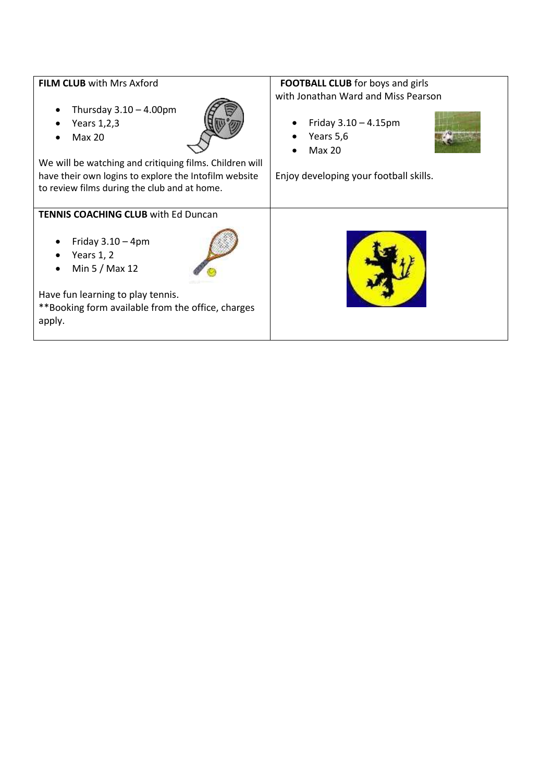| <b>FILM CLUB</b> with Mrs Axford<br>Thursday $3.10 - 4.00$ pm<br>$\bullet$<br>Years 1,2,3<br>$\bullet$<br><b>Max 20</b>                                          | <b>FOOTBALL CLUB</b> for boys and girls<br>with Jonathan Ward and Miss Pearson<br>Friday $3.10 - 4.15$ pm<br>Years 5,6<br><b>Max 20</b> |  |
|------------------------------------------------------------------------------------------------------------------------------------------------------------------|-----------------------------------------------------------------------------------------------------------------------------------------|--|
| We will be watching and critiquing films. Children will<br>have their own logins to explore the Intofilm website<br>to review films during the club and at home. | Enjoy developing your football skills.                                                                                                  |  |
| <b>TENNIS COACHING CLUB with Ed Duncan</b>                                                                                                                       |                                                                                                                                         |  |
| Friday $3.10 - 4$ pm<br>Years 1, 2<br>Min 5 / Max 12                                                                                                             |                                                                                                                                         |  |
| Have fun learning to play tennis.<br>**Booking form available from the office, charges<br>apply.                                                                 |                                                                                                                                         |  |